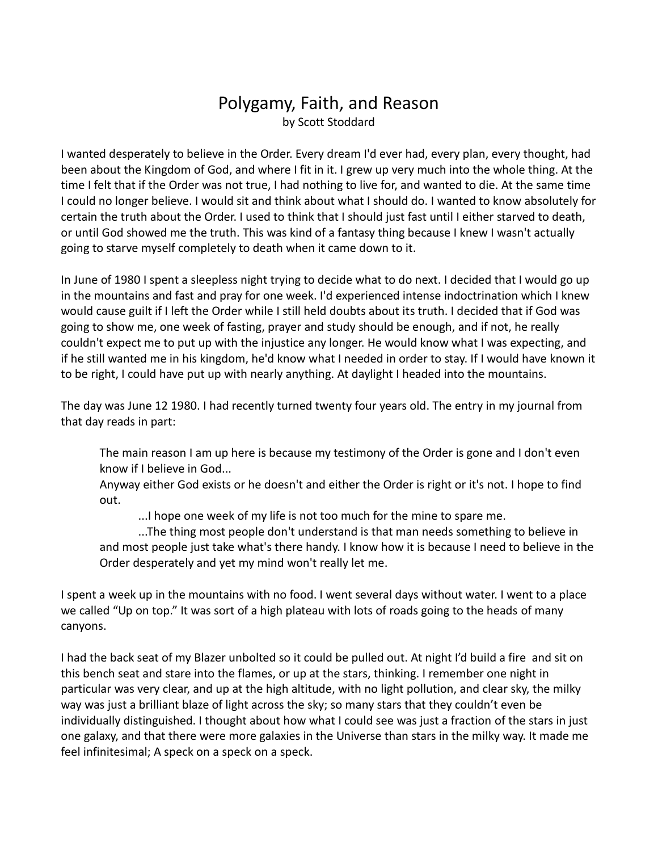## Polygamy, Faith, and Reason by Scott Stoddard

I wanted desperately to believe in the Order. Every dream I'd ever had, every plan, every thought, had been about the Kingdom of God, and where I fit in it. I grew up very much into the whole thing. At the time I felt that if the Order was not true, I had nothing to live for, and wanted to die. At the same time I could no longer believe. I would sit and think about what I should do. I wanted to know absolutely for certain the truth about the Order. I used to think that I should just fast until I either starved to death, or until God showed me the truth. This was kind of a fantasy thing because I knew I wasn't actually going to starve myself completely to death when it came down to it.

In June of 1980 I spent a sleepless night trying to decide what to do next. I decided that I would go up in the mountains and fast and pray for one week. I'd experienced intense indoctrination which I knew would cause guilt if I left the Order while I still held doubts about its truth. I decided that if God was going to show me, one week of fasting, prayer and study should be enough, and if not, he really couldn't expect me to put up with the injustice any longer. He would know what I was expecting, and if he still wanted me in his kingdom, he'd know what I needed in order to stay. If I would have known it to be right, I could have put up with nearly anything. At daylight I headed into the mountains.

The day was June 12 1980. I had recently turned twenty four years old. The entry in my journal from that day reads in part:

The main reason I am up here is because my testimony of the Order is gone and I don't even know if I believe in God...

Anyway either God exists or he doesn't and either the Order is right or it's not. I hope to find out.

...I hope one week of my life is not too much for the mine to spare me.

...The thing most people don't understand is that man needs something to believe in and most people just take what's there handy. I know how it is because I need to believe in the Order desperately and yet my mind won't really let me.

I spent a week up in the mountains with no food. I went several days without water. I went to a place we called "Up on top." It was sort of a high plateau with lots of roads going to the heads of many canyons.

I had the back seat of my Blazer unbolted so it could be pulled out. At night I'd build a fire and sit on this bench seat and stare into the flames, or up at the stars, thinking. I remember one night in particular was very clear, and up at the high altitude, with no light pollution, and clear sky, the milky way was just a brilliant blaze of light across the sky; so many stars that they couldn't even be individually distinguished. I thought about how what I could see was just a fraction of the stars in just one galaxy, and that there were more galaxies in the Universe than stars in the milky way. It made me feel infinitesimal; A speck on a speck on a speck.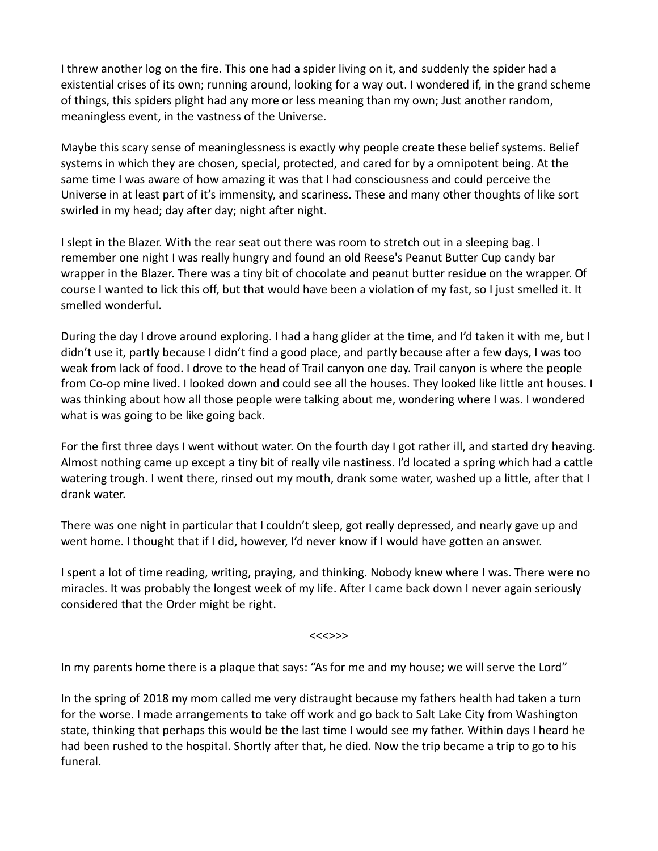I threw another log on the fire. This one had a spider living on it, and suddenly the spider had a existential crises of its own; running around, looking for a way out. I wondered if, in the grand scheme of things, this spiders plight had any more or less meaning than my own; Just another random, meaningless event, in the vastness of the Universe.

Maybe this scary sense of meaninglessness is exactly why people create these belief systems. Belief systems in which they are chosen, special, protected, and cared for by a omnipotent being. At the same time I was aware of how amazing it was that I had consciousness and could perceive the Universe in at least part of it's immensity, and scariness. These and many other thoughts of like sort swirled in my head; day after day; night after night.

I slept in the Blazer. With the rear seat out there was room to stretch out in a sleeping bag. I remember one night I was really hungry and found an old Reese's Peanut Butter Cup candy bar wrapper in the Blazer. There was a tiny bit of chocolate and peanut butter residue on the wrapper. Of course I wanted to lick this off, but that would have been a violation of my fast, so I just smelled it. It smelled wonderful.

During the day I drove around exploring. I had a hang glider at the time, and I'd taken it with me, but I didn't use it, partly because I didn't find a good place, and partly because after a few days, I was too weak from lack of food. I drove to the head of Trail canyon one day. Trail canyon is where the people from Co-op mine lived. I looked down and could see all the houses. They looked like little ant houses. I was thinking about how all those people were talking about me, wondering where I was. I wondered what is was going to be like going back.

For the first three days I went without water. On the fourth day I got rather ill, and started dry heaving. Almost nothing came up except a tiny bit of really vile nastiness. I'd located a spring which had a cattle watering trough. I went there, rinsed out my mouth, drank some water, washed up a little, after that I drank water.

There was one night in particular that I couldn't sleep, got really depressed, and nearly gave up and went home. I thought that if I did, however, I'd never know if I would have gotten an answer.

I spent a lot of time reading, writing, praying, and thinking. Nobody knew where I was. There were no miracles. It was probably the longest week of my life. After I came back down I never again seriously considered that the Order might be right.

<<<>>>

In my parents home there is a plaque that says: "As for me and my house; we will serve the Lord"

In the spring of 2018 my mom called me very distraught because my fathers health had taken a turn for the worse. I made arrangements to take off work and go back to Salt Lake City from Washington state, thinking that perhaps this would be the last time I would see my father. Within days I heard he had been rushed to the hospital. Shortly after that, he died. Now the trip became a trip to go to his funeral.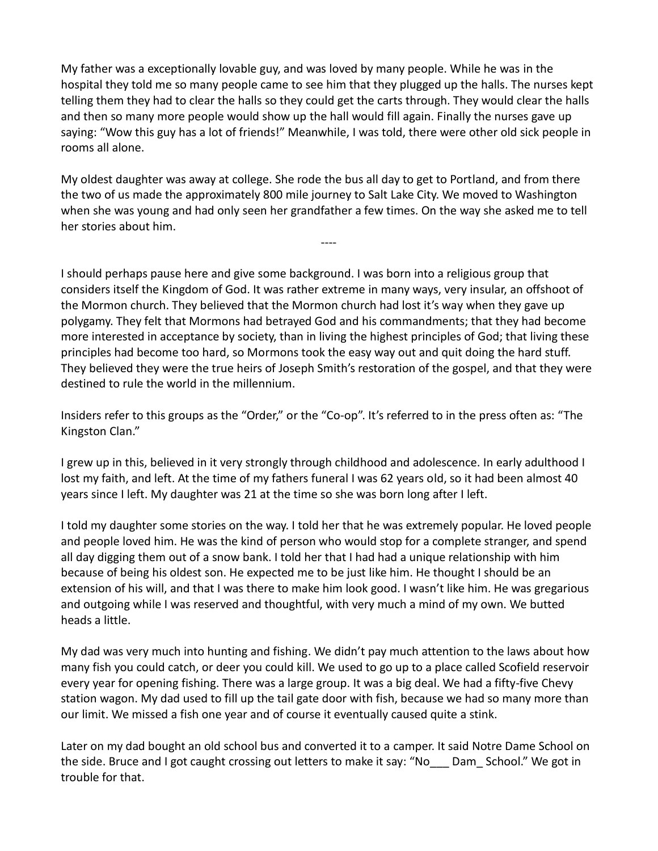My father was a exceptionally lovable guy, and was loved by many people. While he was in the hospital they told me so many people came to see him that they plugged up the halls. The nurses kept telling them they had to clear the halls so they could get the carts through. They would clear the halls and then so many more people would show up the hall would fill again. Finally the nurses gave up saying: "Wow this guy has a lot of friends!" Meanwhile, I was told, there were other old sick people in rooms all alone.

My oldest daughter was away at college. She rode the bus all day to get to Portland, and from there the two of us made the approximately 800 mile journey to Salt Lake City. We moved to Washington when she was young and had only seen her grandfather a few times. On the way she asked me to tell her stories about him.

----

I should perhaps pause here and give some background. I was born into a religious group that considers itself the Kingdom of God. It was rather extreme in many ways, very insular, an offshoot of the Mormon church. They believed that the Mormon church had lost it's way when they gave up polygamy. They felt that Mormons had betrayed God and his commandments; that they had become more interested in acceptance by society, than in living the highest principles of God; that living these principles had become too hard, so Mormons took the easy way out and quit doing the hard stuff. They believed they were the true heirs of Joseph Smith's restoration of the gospel, and that they were destined to rule the world in the millennium.

Insiders refer to this groups as the "Order," or the "Co-op". It's referred to in the press often as: "The Kingston Clan."

I grew up in this, believed in it very strongly through childhood and adolescence. In early adulthood I lost my faith, and left. At the time of my fathers funeral I was 62 years old, so it had been almost 40 years since I left. My daughter was 21 at the time so she was born long after I left.

I told my daughter some stories on the way. I told her that he was extremely popular. He loved people and people loved him. He was the kind of person who would stop for a complete stranger, and spend all day digging them out of a snow bank. I told her that I had had a unique relationship with him because of being his oldest son. He expected me to be just like him. He thought I should be an extension of his will, and that I was there to make him look good. I wasn't like him. He was gregarious and outgoing while I was reserved and thoughtful, with very much a mind of my own. We butted heads a little.

My dad was very much into hunting and fishing. We didn't pay much attention to the laws about how many fish you could catch, or deer you could kill. We used to go up to a place called Scofield reservoir every year for opening fishing. There was a large group. It was a big deal. We had a fifty-five Chevy station wagon. My dad used to fill up the tail gate door with fish, because we had so many more than our limit. We missed a fish one year and of course it eventually caused quite a stink.

Later on my dad bought an old school bus and converted it to a camper. It said Notre Dame School on the side. Bruce and I got caught crossing out letters to make it say: "No Dam School." We got in trouble for that.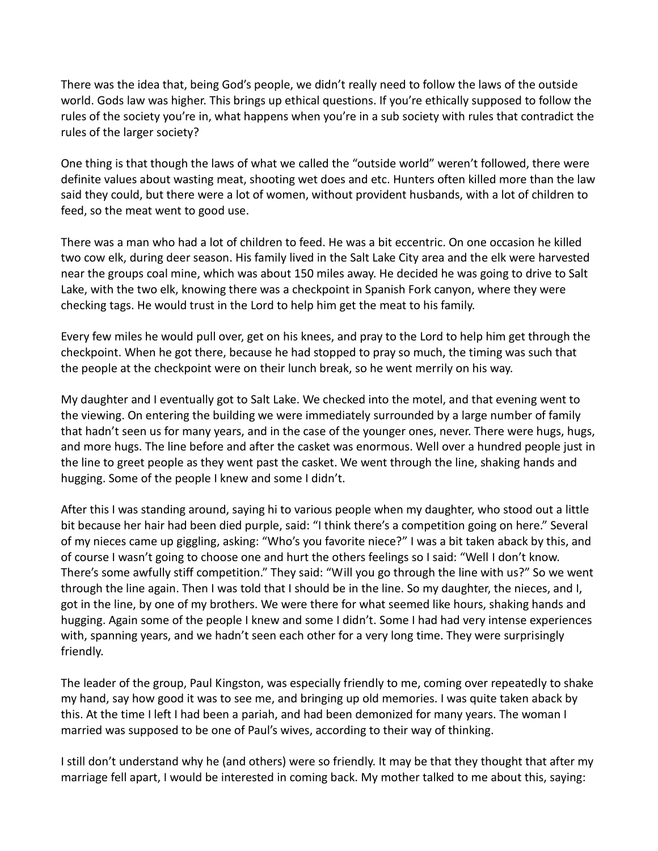There was the idea that, being God's people, we didn't really need to follow the laws of the outside world. Gods law was higher. This brings up ethical questions. If you're ethically supposed to follow the rules of the society you're in, what happens when you're in a sub society with rules that contradict the rules of the larger society?

One thing is that though the laws of what we called the "outside world" weren't followed, there were definite values about wasting meat, shooting wet does and etc. Hunters often killed more than the law said they could, but there were a lot of women, without provident husbands, with a lot of children to feed, so the meat went to good use.

There was a man who had a lot of children to feed. He was a bit eccentric. On one occasion he killed two cow elk, during deer season. His family lived in the Salt Lake City area and the elk were harvested near the groups coal mine, which was about 150 miles away. He decided he was going to drive to Salt Lake, with the two elk, knowing there was a checkpoint in Spanish Fork canyon, where they were checking tags. He would trust in the Lord to help him get the meat to his family.

Every few miles he would pull over, get on his knees, and pray to the Lord to help him get through the checkpoint. When he got there, because he had stopped to pray so much, the timing was such that the people at the checkpoint were on their lunch break, so he went merrily on his way.

My daughter and I eventually got to Salt Lake. We checked into the motel, and that evening went to the viewing. On entering the building we were immediately surrounded by a large number of family that hadn't seen us for many years, and in the case of the younger ones, never. There were hugs, hugs, and more hugs. The line before and after the casket was enormous. Well over a hundred people just in the line to greet people as they went past the casket. We went through the line, shaking hands and hugging. Some of the people I knew and some I didn't.

After this I was standing around, saying hi to various people when my daughter, who stood out a little bit because her hair had been died purple, said: "I think there's a competition going on here." Several of my nieces came up giggling, asking: "Who's you favorite niece?" I was a bit taken aback by this, and of course I wasn't going to choose one and hurt the others feelings so I said: "Well I don't know. There's some awfully stiff competition." They said: "Will you go through the line with us?" So we went through the line again. Then I was told that I should be in the line. So my daughter, the nieces, and I, got in the line, by one of my brothers. We were there for what seemed like hours, shaking hands and hugging. Again some of the people I knew and some I didn't. Some I had had very intense experiences with, spanning years, and we hadn't seen each other for a very long time. They were surprisingly friendly.

The leader of the group, Paul Kingston, was especially friendly to me, coming over repeatedly to shake my hand, say how good it was to see me, and bringing up old memories. I was quite taken aback by this. At the time I left I had been a pariah, and had been demonized for many years. The woman I married was supposed to be one of Paul's wives, according to their way of thinking.

I still don't understand why he (and others) were so friendly. It may be that they thought that after my marriage fell apart, I would be interested in coming back. My mother talked to me about this, saying: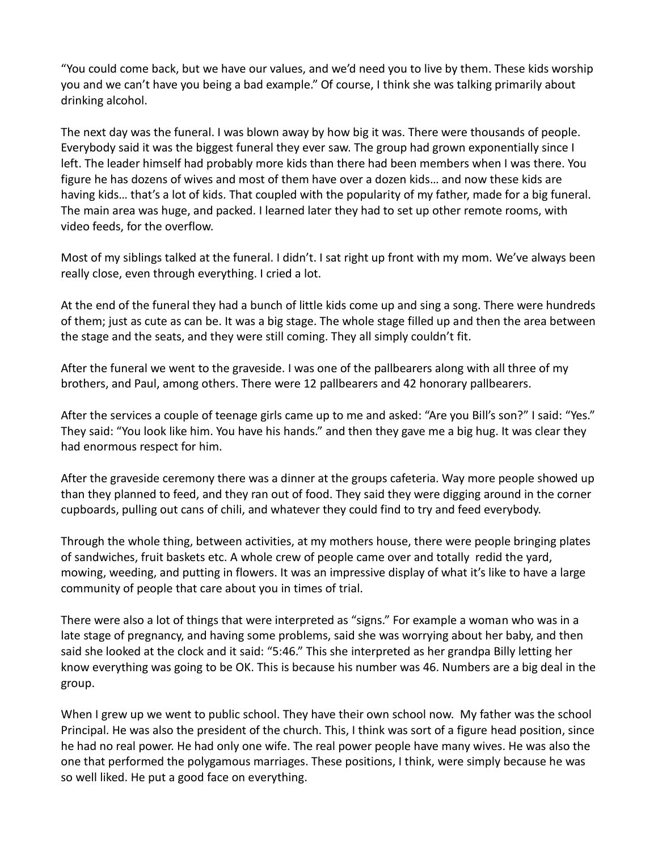"You could come back, but we have our values, and we'd need you to live by them. These kids worship you and we can't have you being a bad example." Of course, I think she was talking primarily about drinking alcohol.

The next day was the funeral. I was blown away by how big it was. There were thousands of people. Everybody said it was the biggest funeral they ever saw. The group had grown exponentially since I left. The leader himself had probably more kids than there had been members when I was there. You figure he has dozens of wives and most of them have over a dozen kids… and now these kids are having kids… that's a lot of kids. That coupled with the popularity of my father, made for a big funeral. The main area was huge, and packed. I learned later they had to set up other remote rooms, with video feeds, for the overflow.

Most of my siblings talked at the funeral. I didn't. I sat right up front with my mom. We've always been really close, even through everything. I cried a lot.

At the end of the funeral they had a bunch of little kids come up and sing a song. There were hundreds of them; just as cute as can be. It was a big stage. The whole stage filled up and then the area between the stage and the seats, and they were still coming. They all simply couldn't fit.

After the funeral we went to the graveside. I was one of the pallbearers along with all three of my brothers, and Paul, among others. There were 12 pallbearers and 42 honorary pallbearers.

After the services a couple of teenage girls came up to me and asked: "Are you Bill's son?" I said: "Yes." They said: "You look like him. You have his hands." and then they gave me a big hug. It was clear they had enormous respect for him.

After the graveside ceremony there was a dinner at the groups cafeteria. Way more people showed up than they planned to feed, and they ran out of food. They said they were digging around in the corner cupboards, pulling out cans of chili, and whatever they could find to try and feed everybody.

Through the whole thing, between activities, at my mothers house, there were people bringing plates of sandwiches, fruit baskets etc. A whole crew of people came over and totally redid the yard, mowing, weeding, and putting in flowers. It was an impressive display of what it's like to have a large community of people that care about you in times of trial.

There were also a lot of things that were interpreted as "signs." For example a woman who was in a late stage of pregnancy, and having some problems, said she was worrying about her baby, and then said she looked at the clock and it said: "5:46." This she interpreted as her grandpa Billy letting her know everything was going to be OK. This is because his number was 46. Numbers are a big deal in the group.

When I grew up we went to public school. They have their own school now. My father was the school Principal. He was also the president of the church. This, I think was sort of a figure head position, since he had no real power. He had only one wife. The real power people have many wives. He was also the one that performed the polygamous marriages. These positions, I think, were simply because he was so well liked. He put a good face on everything.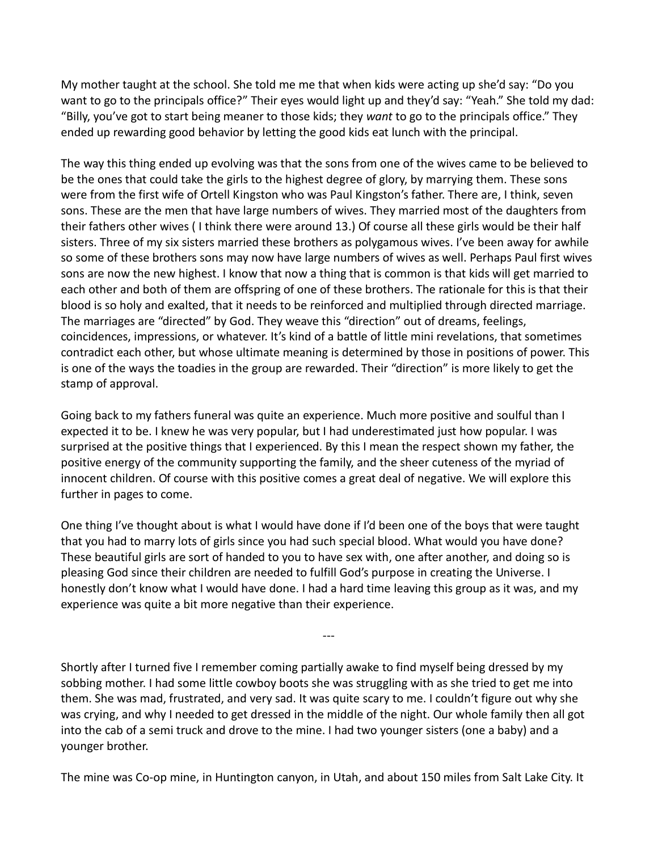My mother taught at the school. She told me me that when kids were acting up she'd say: "Do you want to go to the principals office?" Their eyes would light up and they'd say: "Yeah." She told my dad: "Billy, you've got to start being meaner to those kids; they *want* to go to the principals office." They ended up rewarding good behavior by letting the good kids eat lunch with the principal.

The way this thing ended up evolving was that the sons from one of the wives came to be believed to be the ones that could take the girls to the highest degree of glory, by marrying them. These sons were from the first wife of Ortell Kingston who was Paul Kingston's father. There are, I think, seven sons. These are the men that have large numbers of wives. They married most of the daughters from their fathers other wives ( I think there were around 13.) Of course all these girls would be their half sisters. Three of my six sisters married these brothers as polygamous wives. I've been away for awhile so some of these brothers sons may now have large numbers of wives as well. Perhaps Paul first wives sons are now the new highest. I know that now a thing that is common is that kids will get married to each other and both of them are offspring of one of these brothers. The rationale for this is that their blood is so holy and exalted, that it needs to be reinforced and multiplied through directed marriage. The marriages are "directed" by God. They weave this "direction" out of dreams, feelings, coincidences, impressions, or whatever. It's kind of a battle of little mini revelations, that sometimes contradict each other, but whose ultimate meaning is determined by those in positions of power. This is one of the ways the toadies in the group are rewarded. Their "direction" is more likely to get the stamp of approval.

Going back to my fathers funeral was quite an experience. Much more positive and soulful than I expected it to be. I knew he was very popular, but I had underestimated just how popular. I was surprised at the positive things that I experienced. By this I mean the respect shown my father, the positive energy of the community supporting the family, and the sheer cuteness of the myriad of innocent children. Of course with this positive comes a great deal of negative. We will explore this further in pages to come.

One thing I've thought about is what I would have done if I'd been one of the boys that were taught that you had to marry lots of girls since you had such special blood. What would you have done? These beautiful girls are sort of handed to you to have sex with, one after another, and doing so is pleasing God since their children are needed to fulfill God's purpose in creating the Universe. I honestly don't know what I would have done. I had a hard time leaving this group as it was, and my experience was quite a bit more negative than their experience.

Shortly after I turned five I remember coming partially awake to find myself being dressed by my sobbing mother. I had some little cowboy boots she was struggling with as she tried to get me into them. She was mad, frustrated, and very sad. It was quite scary to me. I couldn't figure out why she was crying, and why I needed to get dressed in the middle of the night. Our whole family then all got into the cab of a semi truck and drove to the mine. I had two younger sisters (one a baby) and a younger brother.

---

The mine was Co-op mine, in Huntington canyon, in Utah, and about 150 miles from Salt Lake City. It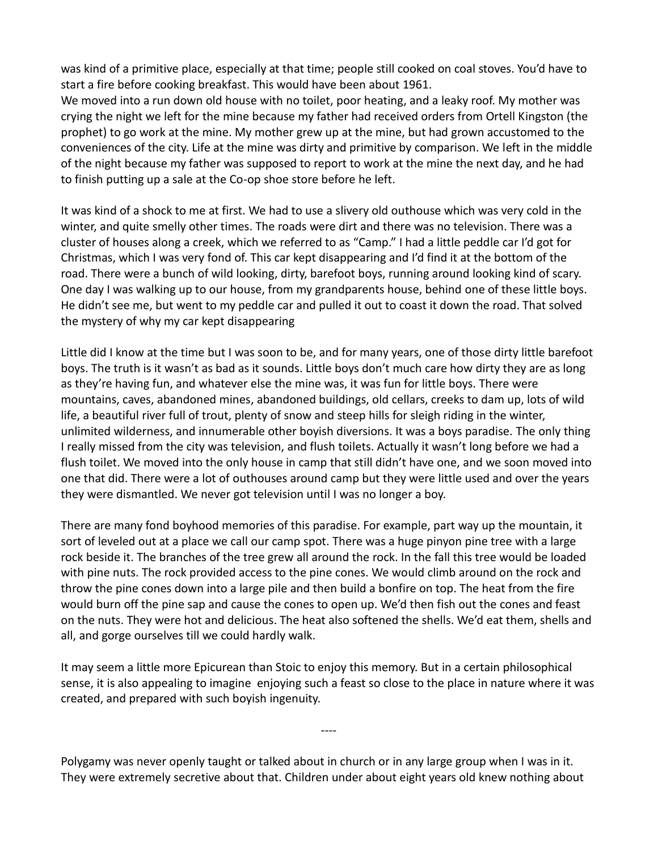was kind of a primitive place, especially at that time; people still cooked on coal stoves. You'd have to start a fire before cooking breakfast. This would have been about 1961.

We moved into a run down old house with no toilet, poor heating, and a leaky roof. My mother was crying the night we left for the mine because my father had received orders from Ortell Kingston (the prophet) to go work at the mine. My mother grew up at the mine, but had grown accustomed to the conveniences of the city. Life at the mine was dirty and primitive by comparison. We left in the middle of the night because my father was supposed to report to work at the mine the next day, and he had to finish putting up a sale at the Co-op shoe store before he left.

It was kind of a shock to me at first. We had to use a slivery old outhouse which was very cold in the winter, and quite smelly other times. The roads were dirt and there was no television. There was a cluster of houses along a creek, which we referred to as "Camp." I had a little peddle car I'd got for Christmas, which I was very fond of. This car kept disappearing and I'd find it at the bottom of the road. There were a bunch of wild looking, dirty, barefoot boys, running around looking kind of scary. One day I was walking up to our house, from my grandparents house, behind one of these little boys. He didn't see me, but went to my peddle car and pulled it out to coast it down the road. That solved the mystery of why my car kept disappearing

Little did I know at the time but I was soon to be, and for many years, one of those dirty little barefoot boys. The truth is it wasn't as bad as it sounds. Little boys don't much care how dirty they are as long as they're having fun, and whatever else the mine was, it was fun for little boys. There were mountains, caves, abandoned mines, abandoned buildings, old cellars, creeks to dam up, lots of wild life, a beautiful river full of trout, plenty of snow and steep hills for sleigh riding in the winter, unlimited wilderness, and innumerable other boyish diversions. It was a boys paradise. The only thing I really missed from the city was television, and flush toilets. Actually it wasn't long before we had a flush toilet. We moved into the only house in camp that still didn't have one, and we soon moved into one that did. There were a lot of outhouses around camp but they were little used and over the years they were dismantled. We never got television until I was no longer a boy.

There are many fond boyhood memories of this paradise. For example, part way up the mountain, it sort of leveled out at a place we call our camp spot. There was a huge pinyon pine tree with a large rock beside it. The branches of the tree grew all around the rock. In the fall this tree would be loaded with pine nuts. The rock provided access to the pine cones. We would climb around on the rock and throw the pine cones down into a large pile and then build a bonfire on top. The heat from the fire would burn off the pine sap and cause the cones to open up. We'd then fish out the cones and feast on the nuts. They were hot and delicious. The heat also softened the shells. We'd eat them, shells and all, and gorge ourselves till we could hardly walk.

It may seem a little more Epicurean than Stoic to enjoy this memory. But in a certain philosophical sense, it is also appealing to imagine enjoying such a feast so close to the place in nature where it was created, and prepared with such boyish ingenuity.

----

Polygamy was never openly taught or talked about in church or in any large group when I was in it. They were extremely secretive about that. Children under about eight years old knew nothing about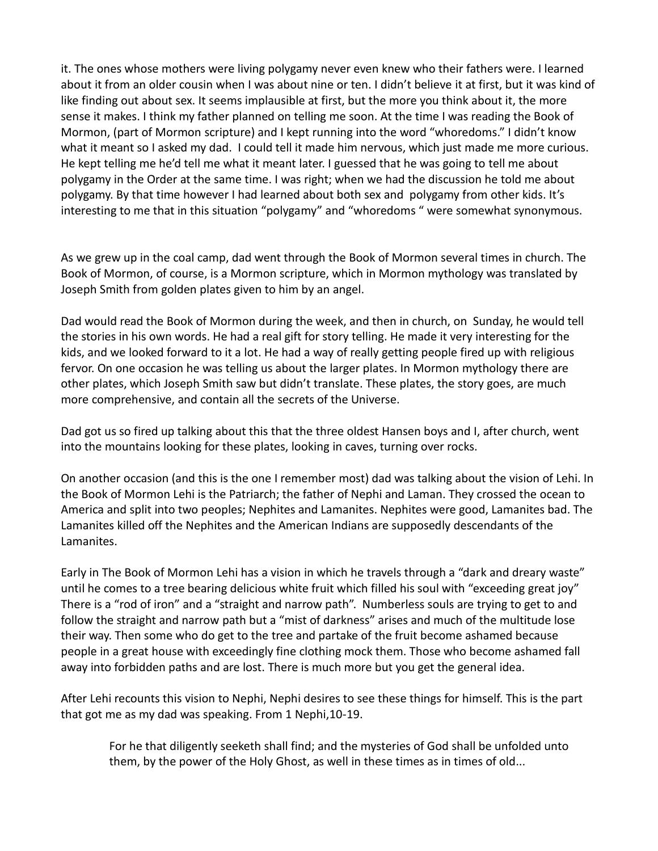it. The ones whose mothers were living polygamy never even knew who their fathers were. I learned about it from an older cousin when I was about nine or ten. I didn't believe it at first, but it was kind of like finding out about sex. It seems implausible at first, but the more you think about it, the more sense it makes. I think my father planned on telling me soon. At the time I was reading the Book of Mormon, (part of Mormon scripture) and I kept running into the word "whoredoms." I didn't know what it meant so I asked my dad. I could tell it made him nervous, which just made me more curious. He kept telling me he'd tell me what it meant later. I guessed that he was going to tell me about polygamy in the Order at the same time. I was right; when we had the discussion he told me about polygamy. By that time however I had learned about both sex and polygamy from other kids. It's interesting to me that in this situation "polygamy" and "whoredoms " were somewhat synonymous.

As we grew up in the coal camp, dad went through the Book of Mormon several times in church. The Book of Mormon, of course, is a Mormon scripture, which in Mormon mythology was translated by Joseph Smith from golden plates given to him by an angel.

Dad would read the Book of Mormon during the week, and then in church, on Sunday, he would tell the stories in his own words. He had a real gift for story telling. He made it very interesting for the kids, and we looked forward to it a lot. He had a way of really getting people fired up with religious fervor. On one occasion he was telling us about the larger plates. In Mormon mythology there are other plates, which Joseph Smith saw but didn't translate. These plates, the story goes, are much more comprehensive, and contain all the secrets of the Universe.

Dad got us so fired up talking about this that the three oldest Hansen boys and I, after church, went into the mountains looking for these plates, looking in caves, turning over rocks.

On another occasion (and this is the one I remember most) dad was talking about the vision of Lehi. In the Book of Mormon Lehi is the Patriarch; the father of Nephi and Laman. They crossed the ocean to America and split into two peoples; Nephites and Lamanites. Nephites were good, Lamanites bad. The Lamanites killed off the Nephites and the American Indians are supposedly descendants of the Lamanites.

Early in The Book of Mormon Lehi has a vision in which he travels through a "dark and dreary waste" until he comes to a tree bearing delicious white fruit which filled his soul with "exceeding great joy" There is a "rod of iron" and a "straight and narrow path". Numberless souls are trying to get to and follow the straight and narrow path but a "mist of darkness" arises and much of the multitude lose their way. Then some who do get to the tree and partake of the fruit become ashamed because people in a great house with exceedingly fine clothing mock them. Those who become ashamed fall away into forbidden paths and are lost. There is much more but you get the general idea.

After Lehi recounts this vision to Nephi, Nephi desires to see these things for himself. This is the part that got me as my dad was speaking. From 1 Nephi,10-19.

For he that diligently seeketh shall find; and the mysteries of God shall be unfolded unto them, by the power of the Holy Ghost, as well in these times as in times of old...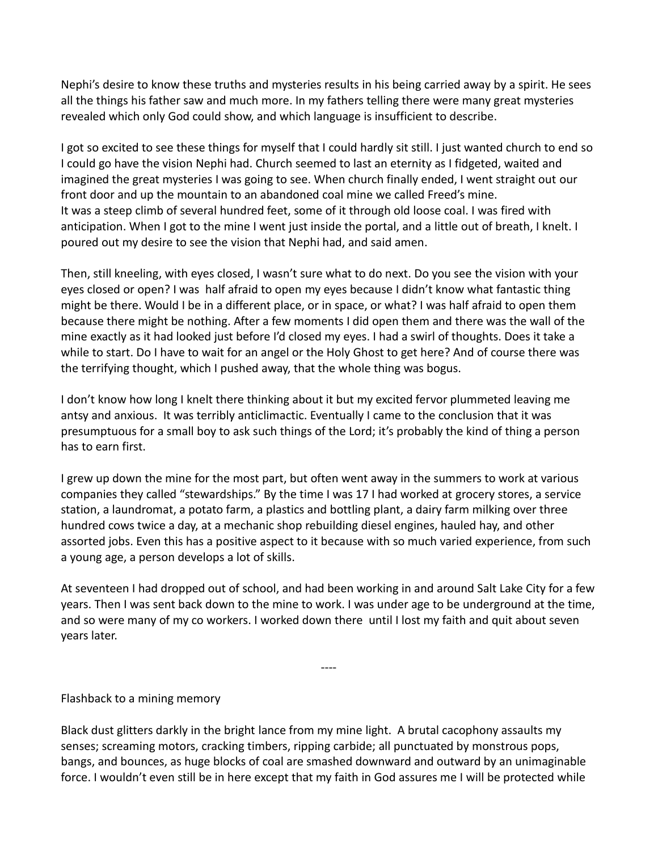Nephi's desire to know these truths and mysteries results in his being carried away by a spirit. He sees all the things his father saw and much more. In my fathers telling there were many great mysteries revealed which only God could show, and which language is insufficient to describe.

I got so excited to see these things for myself that I could hardly sit still. I just wanted church to end so I could go have the vision Nephi had. Church seemed to last an eternity as I fidgeted, waited and imagined the great mysteries I was going to see. When church finally ended, I went straight out our front door and up the mountain to an abandoned coal mine we called Freed's mine. It was a steep climb of several hundred feet, some of it through old loose coal. I was fired with anticipation. When I got to the mine I went just inside the portal, and a little out of breath, I knelt. I poured out my desire to see the vision that Nephi had, and said amen.

Then, still kneeling, with eyes closed, I wasn't sure what to do next. Do you see the vision with your eyes closed or open? I was half afraid to open my eyes because I didn't know what fantastic thing might be there. Would I be in a different place, or in space, or what? I was half afraid to open them because there might be nothing. After a few moments I did open them and there was the wall of the mine exactly as it had looked just before I'd closed my eyes. I had a swirl of thoughts. Does it take a while to start. Do I have to wait for an angel or the Holy Ghost to get here? And of course there was the terrifying thought, which I pushed away, that the whole thing was bogus.

I don't know how long I knelt there thinking about it but my excited fervor plummeted leaving me antsy and anxious. It was terribly anticlimactic. Eventually I came to the conclusion that it was presumptuous for a small boy to ask such things of the Lord; it's probably the kind of thing a person has to earn first.

I grew up down the mine for the most part, but often went away in the summers to work at various companies they called "stewardships." By the time I was 17 I had worked at grocery stores, a service station, a laundromat, a potato farm, a plastics and bottling plant, a dairy farm milking over three hundred cows twice a day, at a mechanic shop rebuilding diesel engines, hauled hay, and other assorted jobs. Even this has a positive aspect to it because with so much varied experience, from such a young age, a person develops a lot of skills.

At seventeen I had dropped out of school, and had been working in and around Salt Lake City for a few years. Then I was sent back down to the mine to work. I was under age to be underground at the time, and so were many of my co workers. I worked down there until I lost my faith and quit about seven years later.

----

Flashback to a mining memory

Black dust glitters darkly in the bright lance from my mine light. A brutal cacophony assaults my senses; screaming motors, cracking timbers, ripping carbide; all punctuated by monstrous pops, bangs, and bounces, as huge blocks of coal are smashed downward and outward by an unimaginable force. I wouldn't even still be in here except that my faith in God assures me I will be protected while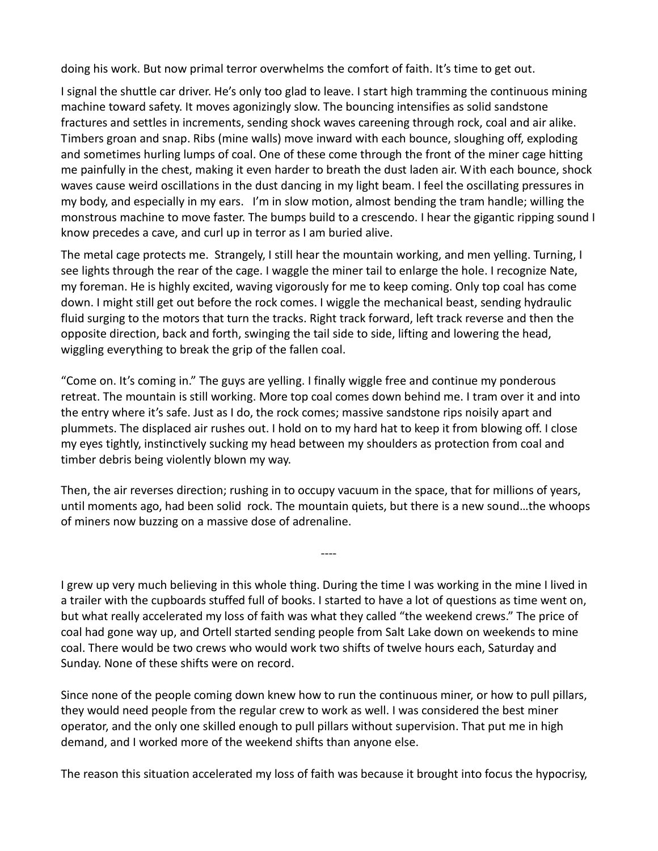doing his work. But now primal terror overwhelms the comfort of faith. It's time to get out.

I signal the shuttle car driver. He's only too glad to leave. I start high tramming the continuous mining machine toward safety. It moves agonizingly slow. The bouncing intensifies as solid sandstone fractures and settles in increments, sending shock waves careening through rock, coal and air alike. Timbers groan and snap. Ribs (mine walls) move inward with each bounce, sloughing off, exploding and sometimes hurling lumps of coal. One of these come through the front of the miner cage hitting me painfully in the chest, making it even harder to breath the dust laden air. With each bounce, shock waves cause weird oscillations in the dust dancing in my light beam. I feel the oscillating pressures in my body, and especially in my ears. I'm in slow motion, almost bending the tram handle; willing the monstrous machine to move faster. The bumps build to a crescendo. I hear the gigantic ripping sound I know precedes a cave, and curl up in terror as I am buried alive.

The metal cage protects me. Strangely, I still hear the mountain working, and men yelling. Turning, I see lights through the rear of the cage. I waggle the miner tail to enlarge the hole. I recognize Nate, my foreman. He is highly excited, waving vigorously for me to keep coming. Only top coal has come down. I might still get out before the rock comes. I wiggle the mechanical beast, sending hydraulic fluid surging to the motors that turn the tracks. Right track forward, left track reverse and then the opposite direction, back and forth, swinging the tail side to side, lifting and lowering the head, wiggling everything to break the grip of the fallen coal.

"Come on. It's coming in." The guys are yelling. I finally wiggle free and continue my ponderous retreat. The mountain is still working. More top coal comes down behind me. I tram over it and into the entry where it's safe. Just as I do, the rock comes; massive sandstone rips noisily apart and plummets. The displaced air rushes out. I hold on to my hard hat to keep it from blowing off. I close my eyes tightly, instinctively sucking my head between my shoulders as protection from coal and timber debris being violently blown my way.

Then, the air reverses direction; rushing in to occupy vacuum in the space, that for millions of years, until moments ago, had been solid rock. The mountain quiets, but there is a new sound…the whoops of miners now buzzing on a massive dose of adrenaline.

----

I grew up very much believing in this whole thing. During the time I was working in the mine I lived in a trailer with the cupboards stuffed full of books. I started to have a lot of questions as time went on, but what really accelerated my loss of faith was what they called "the weekend crews." The price of coal had gone way up, and Ortell started sending people from Salt Lake down on weekends to mine coal. There would be two crews who would work two shifts of twelve hours each, Saturday and Sunday. None of these shifts were on record.

Since none of the people coming down knew how to run the continuous miner, or how to pull pillars, they would need people from the regular crew to work as well. I was considered the best miner operator, and the only one skilled enough to pull pillars without supervision. That put me in high demand, and I worked more of the weekend shifts than anyone else.

The reason this situation accelerated my loss of faith was because it brought into focus the hypocrisy,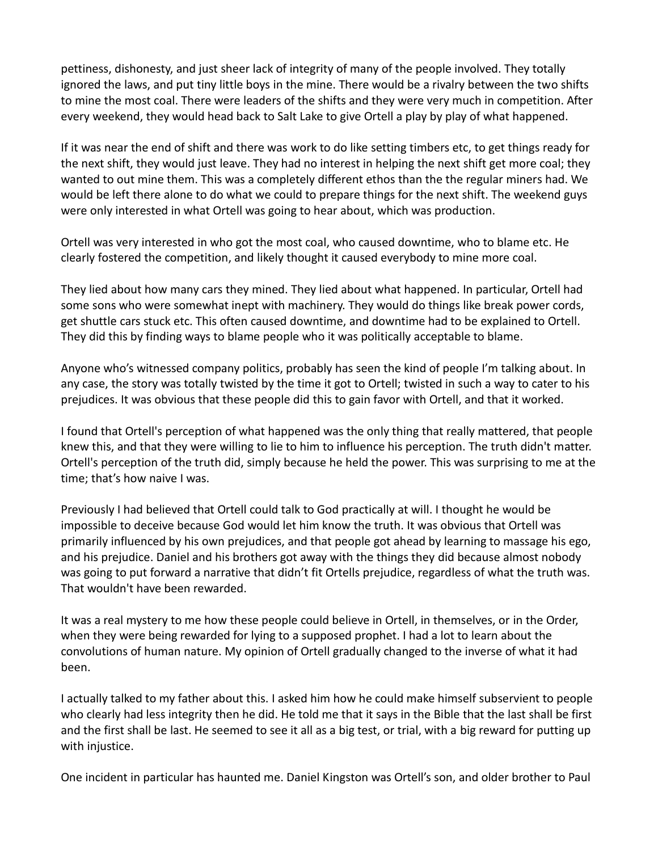pettiness, dishonesty, and just sheer lack of integrity of many of the people involved. They totally ignored the laws, and put tiny little boys in the mine. There would be a rivalry between the two shifts to mine the most coal. There were leaders of the shifts and they were very much in competition. After every weekend, they would head back to Salt Lake to give Ortell a play by play of what happened.

If it was near the end of shift and there was work to do like setting timbers etc, to get things ready for the next shift, they would just leave. They had no interest in helping the next shift get more coal; they wanted to out mine them. This was a completely different ethos than the the regular miners had. We would be left there alone to do what we could to prepare things for the next shift. The weekend guys were only interested in what Ortell was going to hear about, which was production.

Ortell was very interested in who got the most coal, who caused downtime, who to blame etc. He clearly fostered the competition, and likely thought it caused everybody to mine more coal.

They lied about how many cars they mined. They lied about what happened. In particular, Ortell had some sons who were somewhat inept with machinery. They would do things like break power cords, get shuttle cars stuck etc. This often caused downtime, and downtime had to be explained to Ortell. They did this by finding ways to blame people who it was politically acceptable to blame.

Anyone who's witnessed company politics, probably has seen the kind of people I'm talking about. In any case, the story was totally twisted by the time it got to Ortell; twisted in such a way to cater to his prejudices. It was obvious that these people did this to gain favor with Ortell, and that it worked.

I found that Ortell's perception of what happened was the only thing that really mattered, that people knew this, and that they were willing to lie to him to influence his perception. The truth didn't matter. Ortell's perception of the truth did, simply because he held the power. This was surprising to me at the time; that's how naive I was.

Previously I had believed that Ortell could talk to God practically at will. I thought he would be impossible to deceive because God would let him know the truth. It was obvious that Ortell was primarily influenced by his own prejudices, and that people got ahead by learning to massage his ego, and his prejudice. Daniel and his brothers got away with the things they did because almost nobody was going to put forward a narrative that didn't fit Ortells prejudice, regardless of what the truth was. That wouldn't have been rewarded.

It was a real mystery to me how these people could believe in Ortell, in themselves, or in the Order, when they were being rewarded for lying to a supposed prophet. I had a lot to learn about the convolutions of human nature. My opinion of Ortell gradually changed to the inverse of what it had been.

I actually talked to my father about this. I asked him how he could make himself subservient to people who clearly had less integrity then he did. He told me that it says in the Bible that the last shall be first and the first shall be last. He seemed to see it all as a big test, or trial, with a big reward for putting up with injustice.

One incident in particular has haunted me. Daniel Kingston was Ortell's son, and older brother to Paul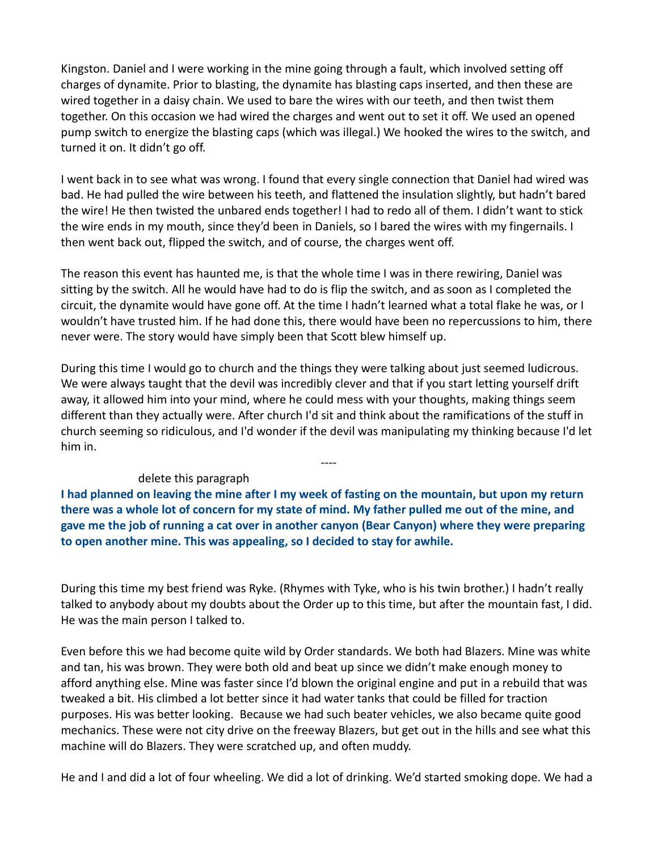Kingston. Daniel and I were working in the mine going through a fault, which involved setting off charges of dynamite. Prior to blasting, the dynamite has blasting caps inserted, and then these are wired together in a daisy chain. We used to bare the wires with our teeth, and then twist them together. On this occasion we had wired the charges and went out to set it off. We used an opened pump switch to energize the blasting caps (which was illegal.) We hooked the wires to the switch, and turned it on. It didn't go off.

I went back in to see what was wrong. I found that every single connection that Daniel had wired was bad. He had pulled the wire between his teeth, and flattened the insulation slightly, but hadn't bared the wire! He then twisted the unbared ends together! I had to redo all of them. I didn't want to stick the wire ends in my mouth, since they'd been in Daniels, so I bared the wires with my fingernails. I then went back out, flipped the switch, and of course, the charges went off.

The reason this event has haunted me, is that the whole time I was in there rewiring, Daniel was sitting by the switch. All he would have had to do is flip the switch, and as soon as I completed the circuit, the dynamite would have gone off. At the time I hadn't learned what a total flake he was, or I wouldn't have trusted him. If he had done this, there would have been no repercussions to him, there never were. The story would have simply been that Scott blew himself up.

During this time I would go to church and the things they were talking about just seemed ludicrous. We were always taught that the devil was incredibly clever and that if you start letting yourself drift away, it allowed him into your mind, where he could mess with your thoughts, making things seem different than they actually were. After church I'd sit and think about the ramifications of the stuff in church seeming so ridiculous, and I'd wonder if the devil was manipulating my thinking because I'd let him in.

----

## delete this paragraph

**I had planned on leaving the mine after I my week of fasting on the mountain, but upon my return there was a whole lot of concern for my state of mind. My father pulled me out of the mine, and gave me the job of running a cat over in another canyon (Bear Canyon) where they were preparing to open another mine. This was appealing, so I decided to stay for awhile.**

During this time my best friend was Ryke. (Rhymes with Tyke, who is his twin brother.) I hadn't really talked to anybody about my doubts about the Order up to this time, but after the mountain fast, I did. He was the main person I talked to.

Even before this we had become quite wild by Order standards. We both had Blazers. Mine was white and tan, his was brown. They were both old and beat up since we didn't make enough money to afford anything else. Mine was faster since I'd blown the original engine and put in a rebuild that was tweaked a bit. His climbed a lot better since it had water tanks that could be filled for traction purposes. His was better looking. Because we had such beater vehicles, we also became quite good mechanics. These were not city drive on the freeway Blazers, but get out in the hills and see what this machine will do Blazers. They were scratched up, and often muddy.

He and I and did a lot of four wheeling. We did a lot of drinking. We'd started smoking dope. We had a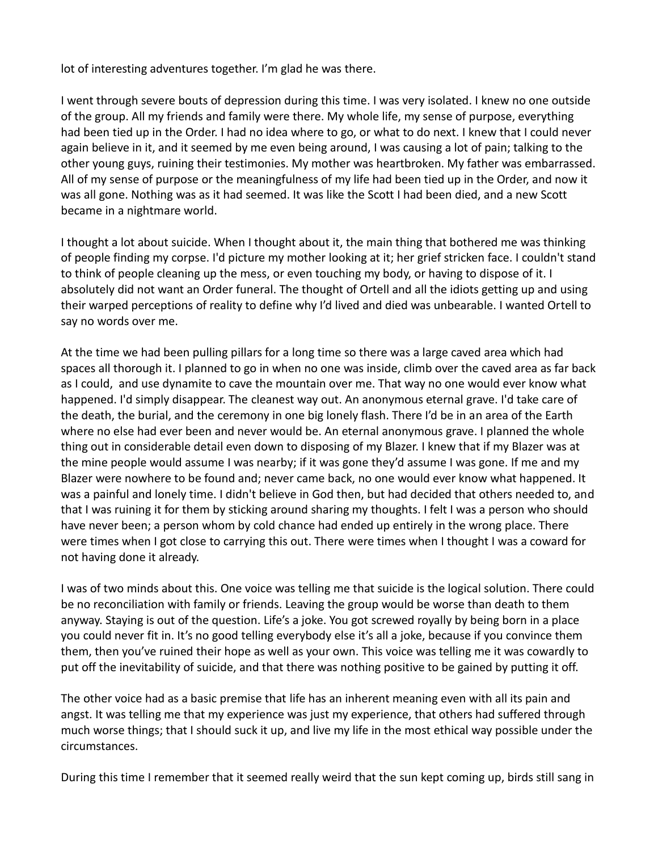lot of interesting adventures together. I'm glad he was there.

I went through severe bouts of depression during this time. I was very isolated. I knew no one outside of the group. All my friends and family were there. My whole life, my sense of purpose, everything had been tied up in the Order. I had no idea where to go, or what to do next. I knew that I could never again believe in it, and it seemed by me even being around, I was causing a lot of pain; talking to the other young guys, ruining their testimonies. My mother was heartbroken. My father was embarrassed. All of my sense of purpose or the meaningfulness of my life had been tied up in the Order, and now it was all gone. Nothing was as it had seemed. It was like the Scott I had been died, and a new Scott became in a nightmare world.

I thought a lot about suicide. When I thought about it, the main thing that bothered me was thinking of people finding my corpse. I'd picture my mother looking at it; her grief stricken face. I couldn't stand to think of people cleaning up the mess, or even touching my body, or having to dispose of it. I absolutely did not want an Order funeral. The thought of Ortell and all the idiots getting up and using their warped perceptions of reality to define why I'd lived and died was unbearable. I wanted Ortell to say no words over me.

At the time we had been pulling pillars for a long time so there was a large caved area which had spaces all thorough it. I planned to go in when no one was inside, climb over the caved area as far back as I could, and use dynamite to cave the mountain over me. That way no one would ever know what happened. I'd simply disappear. The cleanest way out. An anonymous eternal grave. I'd take care of the death, the burial, and the ceremony in one big lonely flash. There I'd be in an area of the Earth where no else had ever been and never would be. An eternal anonymous grave. I planned the whole thing out in considerable detail even down to disposing of my Blazer. I knew that if my Blazer was at the mine people would assume I was nearby; if it was gone they'd assume I was gone. If me and my Blazer were nowhere to be found and; never came back, no one would ever know what happened. It was a painful and lonely time. I didn't believe in God then, but had decided that others needed to, and that I was ruining it for them by sticking around sharing my thoughts. I felt I was a person who should have never been; a person whom by cold chance had ended up entirely in the wrong place. There were times when I got close to carrying this out. There were times when I thought I was a coward for not having done it already.

I was of two minds about this. One voice was telling me that suicide is the logical solution. There could be no reconciliation with family or friends. Leaving the group would be worse than death to them anyway. Staying is out of the question. Life's a joke. You got screwed royally by being born in a place you could never fit in. It's no good telling everybody else it's all a joke, because if you convince them them, then you've ruined their hope as well as your own. This voice was telling me it was cowardly to put off the inevitability of suicide, and that there was nothing positive to be gained by putting it off.

The other voice had as a basic premise that life has an inherent meaning even with all its pain and angst. It was telling me that my experience was just my experience, that others had suffered through much worse things; that I should suck it up, and live my life in the most ethical way possible under the circumstances.

During this time I remember that it seemed really weird that the sun kept coming up, birds still sang in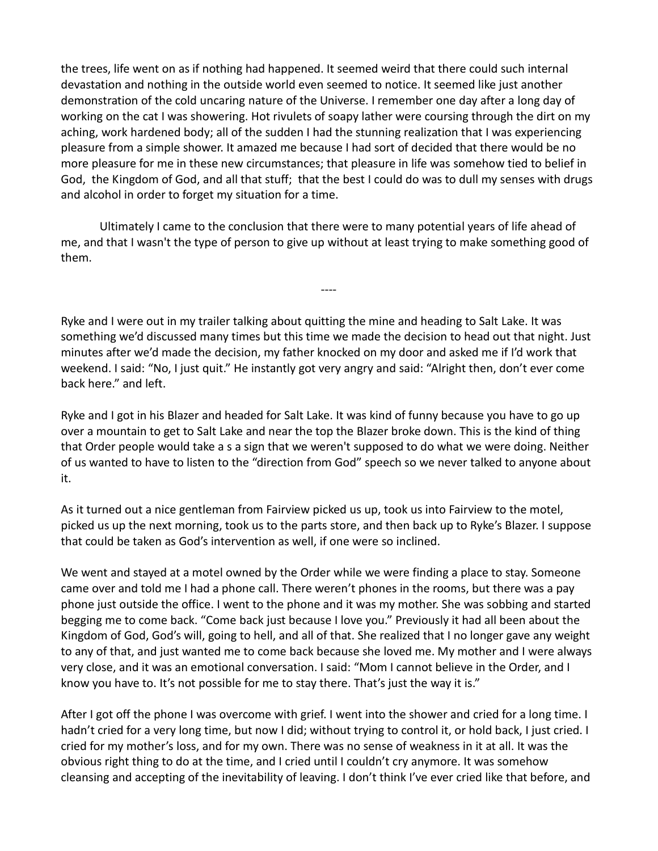the trees, life went on as if nothing had happened. It seemed weird that there could such internal devastation and nothing in the outside world even seemed to notice. It seemed like just another demonstration of the cold uncaring nature of the Universe. I remember one day after a long day of working on the cat I was showering. Hot rivulets of soapy lather were coursing through the dirt on my aching, work hardened body; all of the sudden I had the stunning realization that I was experiencing pleasure from a simple shower. It amazed me because I had sort of decided that there would be no more pleasure for me in these new circumstances; that pleasure in life was somehow tied to belief in God, the Kingdom of God, and all that stuff; that the best I could do was to dull my senses with drugs and alcohol in order to forget my situation for a time.

Ultimately I came to the conclusion that there were to many potential years of life ahead of me, and that I wasn't the type of person to give up without at least trying to make something good of them.

----

Ryke and I were out in my trailer talking about quitting the mine and heading to Salt Lake. It was something we'd discussed many times but this time we made the decision to head out that night. Just minutes after we'd made the decision, my father knocked on my door and asked me if I'd work that weekend. I said: "No, I just quit." He instantly got very angry and said: "Alright then, don't ever come back here." and left.

Ryke and I got in his Blazer and headed for Salt Lake. It was kind of funny because you have to go up over a mountain to get to Salt Lake and near the top the Blazer broke down. This is the kind of thing that Order people would take a s a sign that we weren't supposed to do what we were doing. Neither of us wanted to have to listen to the "direction from God" speech so we never talked to anyone about it.

As it turned out a nice gentleman from Fairview picked us up, took us into Fairview to the motel, picked us up the next morning, took us to the parts store, and then back up to Ryke's Blazer. I suppose that could be taken as God's intervention as well, if one were so inclined.

We went and stayed at a motel owned by the Order while we were finding a place to stay. Someone came over and told me I had a phone call. There weren't phones in the rooms, but there was a pay phone just outside the office. I went to the phone and it was my mother. She was sobbing and started begging me to come back. "Come back just because I love you." Previously it had all been about the Kingdom of God, God's will, going to hell, and all of that. She realized that I no longer gave any weight to any of that, and just wanted me to come back because she loved me. My mother and I were always very close, and it was an emotional conversation. I said: "Mom I cannot believe in the Order, and I know you have to. It's not possible for me to stay there. That's just the way it is."

After I got off the phone I was overcome with grief. I went into the shower and cried for a long time. I hadn't cried for a very long time, but now I did; without trying to control it, or hold back, I just cried. I cried for my mother's loss, and for my own. There was no sense of weakness in it at all. It was the obvious right thing to do at the time, and I cried until I couldn't cry anymore. It was somehow cleansing and accepting of the inevitability of leaving. I don't think I've ever cried like that before, and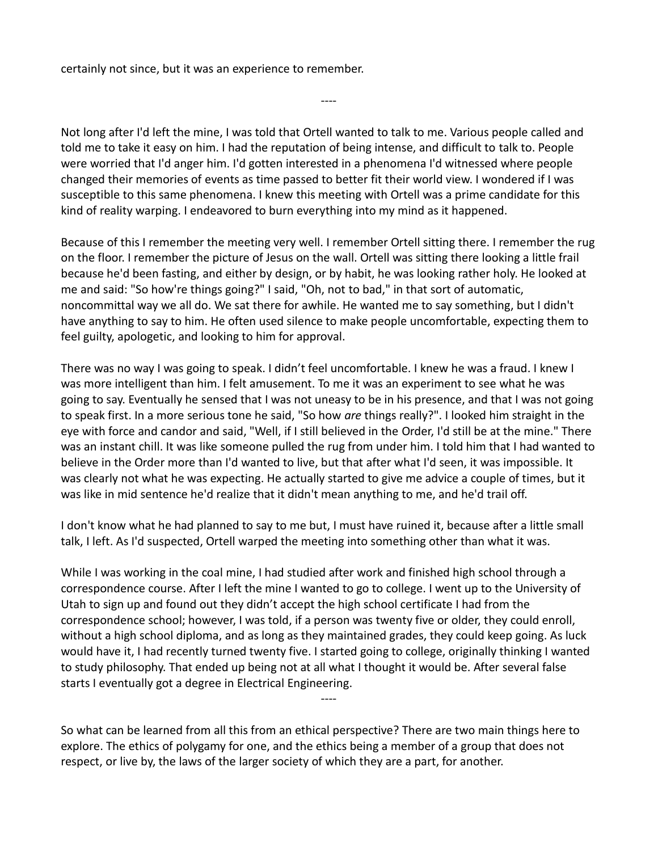certainly not since, but it was an experience to remember.

Not long after I'd left the mine, I was told that Ortell wanted to talk to me. Various people called and told me to take it easy on him. I had the reputation of being intense, and difficult to talk to. People were worried that I'd anger him. I'd gotten interested in a phenomena I'd witnessed where people changed their memories of events as time passed to better fit their world view. I wondered if I was susceptible to this same phenomena. I knew this meeting with Ortell was a prime candidate for this kind of reality warping. I endeavored to burn everything into my mind as it happened.

----

Because of this I remember the meeting very well. I remember Ortell sitting there. I remember the rug on the floor. I remember the picture of Jesus on the wall. Ortell was sitting there looking a little frail because he'd been fasting, and either by design, or by habit, he was looking rather holy. He looked at me and said: "So how're things going?" I said, "Oh, not to bad," in that sort of automatic, noncommittal way we all do. We sat there for awhile. He wanted me to say something, but I didn't have anything to say to him. He often used silence to make people uncomfortable, expecting them to feel guilty, apologetic, and looking to him for approval.

There was no way I was going to speak. I didn't feel uncomfortable. I knew he was a fraud. I knew I was more intelligent than him. I felt amusement. To me it was an experiment to see what he was going to say. Eventually he sensed that I was not uneasy to be in his presence, and that I was not going to speak first. In a more serious tone he said, "So how *are* things really?". I looked him straight in the eye with force and candor and said, "Well, if I still believed in the Order, I'd still be at the mine." There was an instant chill. It was like someone pulled the rug from under him. I told him that I had wanted to believe in the Order more than I'd wanted to live, but that after what I'd seen, it was impossible. It was clearly not what he was expecting. He actually started to give me advice a couple of times, but it was like in mid sentence he'd realize that it didn't mean anything to me, and he'd trail off.

I don't know what he had planned to say to me but, I must have ruined it, because after a little small talk, I left. As I'd suspected, Ortell warped the meeting into something other than what it was.

While I was working in the coal mine, I had studied after work and finished high school through a correspondence course. After I left the mine I wanted to go to college. I went up to the University of Utah to sign up and found out they didn't accept the high school certificate I had from the correspondence school; however, I was told, if a person was twenty five or older, they could enroll, without a high school diploma, and as long as they maintained grades, they could keep going. As luck would have it, I had recently turned twenty five. I started going to college, originally thinking I wanted to study philosophy. That ended up being not at all what I thought it would be. After several false starts I eventually got a degree in Electrical Engineering.

So what can be learned from all this from an ethical perspective? There are two main things here to explore. The ethics of polygamy for one, and the ethics being a member of a group that does not respect, or live by, the laws of the larger society of which they are a part, for another.

----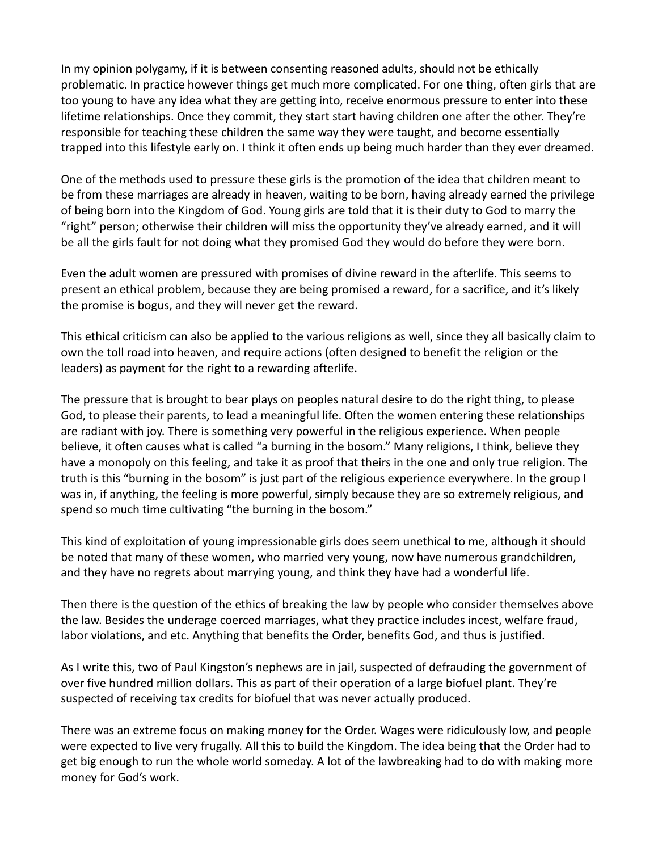In my opinion polygamy, if it is between consenting reasoned adults, should not be ethically problematic. In practice however things get much more complicated. For one thing, often girls that are too young to have any idea what they are getting into, receive enormous pressure to enter into these lifetime relationships. Once they commit, they start start having children one after the other. They're responsible for teaching these children the same way they were taught, and become essentially trapped into this lifestyle early on. I think it often ends up being much harder than they ever dreamed.

One of the methods used to pressure these girls is the promotion of the idea that children meant to be from these marriages are already in heaven, waiting to be born, having already earned the privilege of being born into the Kingdom of God. Young girls are told that it is their duty to God to marry the "right" person; otherwise their children will miss the opportunity they've already earned, and it will be all the girls fault for not doing what they promised God they would do before they were born.

Even the adult women are pressured with promises of divine reward in the afterlife. This seems to present an ethical problem, because they are being promised a reward, for a sacrifice, and it's likely the promise is bogus, and they will never get the reward.

This ethical criticism can also be applied to the various religions as well, since they all basically claim to own the toll road into heaven, and require actions (often designed to benefit the religion or the leaders) as payment for the right to a rewarding afterlife.

The pressure that is brought to bear plays on peoples natural desire to do the right thing, to please God, to please their parents, to lead a meaningful life. Often the women entering these relationships are radiant with joy. There is something very powerful in the religious experience. When people believe, it often causes what is called "a burning in the bosom." Many religions, I think, believe they have a monopoly on this feeling, and take it as proof that theirs in the one and only true religion. The truth is this "burning in the bosom" is just part of the religious experience everywhere. In the group I was in, if anything, the feeling is more powerful, simply because they are so extremely religious, and spend so much time cultivating "the burning in the bosom."

This kind of exploitation of young impressionable girls does seem unethical to me, although it should be noted that many of these women, who married very young, now have numerous grandchildren, and they have no regrets about marrying young, and think they have had a wonderful life.

Then there is the question of the ethics of breaking the law by people who consider themselves above the law. Besides the underage coerced marriages, what they practice includes incest, welfare fraud, labor violations, and etc. Anything that benefits the Order, benefits God, and thus is justified.

As I write this, two of Paul Kingston's nephews are in jail, suspected of defrauding the government of over five hundred million dollars. This as part of their operation of a large biofuel plant. They're suspected of receiving tax credits for biofuel that was never actually produced.

There was an extreme focus on making money for the Order. Wages were ridiculously low, and people were expected to live very frugally. All this to build the Kingdom. The idea being that the Order had to get big enough to run the whole world someday. A lot of the lawbreaking had to do with making more money for God's work.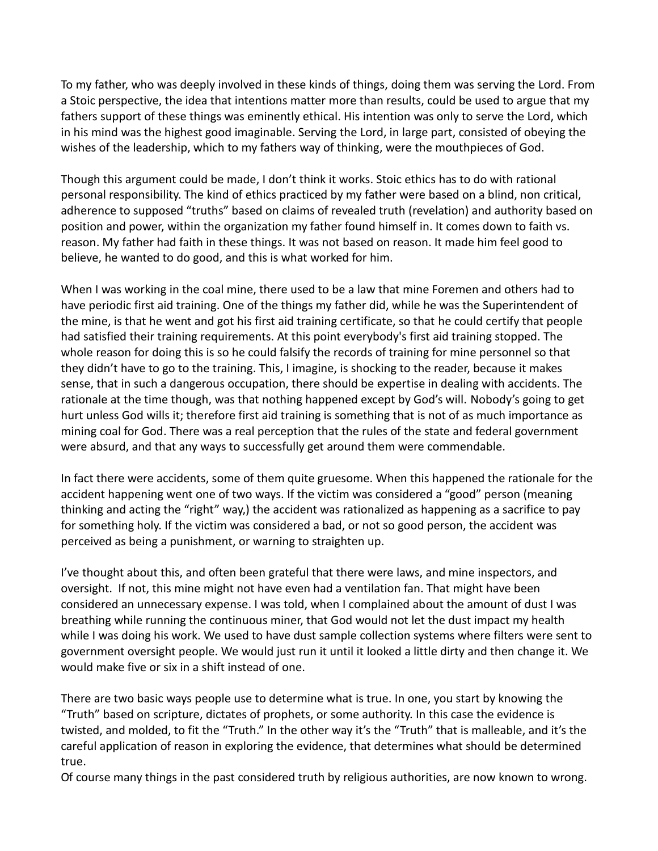To my father, who was deeply involved in these kinds of things, doing them was serving the Lord. From a Stoic perspective, the idea that intentions matter more than results, could be used to argue that my fathers support of these things was eminently ethical. His intention was only to serve the Lord, which in his mind was the highest good imaginable. Serving the Lord, in large part, consisted of obeying the wishes of the leadership, which to my fathers way of thinking, were the mouthpieces of God.

Though this argument could be made, I don't think it works. Stoic ethics has to do with rational personal responsibility. The kind of ethics practiced by my father were based on a blind, non critical, adherence to supposed "truths" based on claims of revealed truth (revelation) and authority based on position and power, within the organization my father found himself in. It comes down to faith vs. reason. My father had faith in these things. It was not based on reason. It made him feel good to believe, he wanted to do good, and this is what worked for him.

When I was working in the coal mine, there used to be a law that mine Foremen and others had to have periodic first aid training. One of the things my father did, while he was the Superintendent of the mine, is that he went and got his first aid training certificate, so that he could certify that people had satisfied their training requirements. At this point everybody's first aid training stopped. The whole reason for doing this is so he could falsify the records of training for mine personnel so that they didn't have to go to the training. This, I imagine, is shocking to the reader, because it makes sense, that in such a dangerous occupation, there should be expertise in dealing with accidents. The rationale at the time though, was that nothing happened except by God's will. Nobody's going to get hurt unless God wills it; therefore first aid training is something that is not of as much importance as mining coal for God. There was a real perception that the rules of the state and federal government were absurd, and that any ways to successfully get around them were commendable.

In fact there were accidents, some of them quite gruesome. When this happened the rationale for the accident happening went one of two ways. If the victim was considered a "good" person (meaning thinking and acting the "right" way,) the accident was rationalized as happening as a sacrifice to pay for something holy. If the victim was considered a bad, or not so good person, the accident was perceived as being a punishment, or warning to straighten up.

I've thought about this, and often been grateful that there were laws, and mine inspectors, and oversight. If not, this mine might not have even had a ventilation fan. That might have been considered an unnecessary expense. I was told, when I complained about the amount of dust I was breathing while running the continuous miner, that God would not let the dust impact my health while I was doing his work. We used to have dust sample collection systems where filters were sent to government oversight people. We would just run it until it looked a little dirty and then change it. We would make five or six in a shift instead of one.

There are two basic ways people use to determine what is true. In one, you start by knowing the "Truth" based on scripture, dictates of prophets, or some authority. In this case the evidence is twisted, and molded, to fit the "Truth." In the other way it's the "Truth" that is malleable, and it's the careful application of reason in exploring the evidence, that determines what should be determined true.

Of course many things in the past considered truth by religious authorities, are now known to wrong.